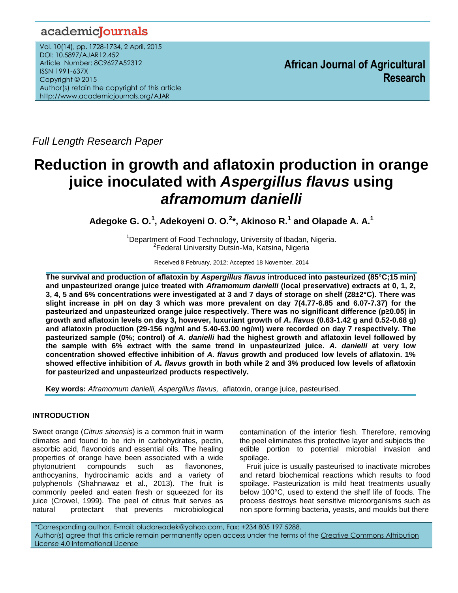# academiclournals

Vol. 10(14), pp. 1728-1734, 2 April, 2015 DOI: 10.5897/AJAR12.452 Article Number: 8C9627A52312 ISSN 1991-637X Copyright © 2015 Author(s) retain the copyright of this article http://www.academicjournals.org/AJAR

**African Journal of Agricultural Research**

*Full Length Research Paper*

# **Reduction in growth and aflatoxin production in orange juice inoculated with** *Aspergillus flavus* **using** *aframomum danielli*

**Adegoke G. O.<sup>1</sup> , Adekoyeni O. O.<sup>2</sup> \*, Akinoso R.<sup>1</sup> and Olapade A. A.<sup>1</sup>**

<sup>1</sup>Department of Food Technology, University of Ibadan, Nigeria. <sup>2</sup> Federal University Dutsin-Ma, Katsina, Nigeria

Received 8 February, 2012; Accepted 18 November, 2014

**The survival and production of aflatoxin by** *Aspergillus flavus* **introduced into pasteurized (85°C;15 min) and unpasteurized orange juice treated with** *Aframomum danielli* **(local preservative) extracts at 0, 1, 2, 3, 4, 5 and 6% concentrations were investigated at 3 and 7 days of storage on shelf (28±2°C). There was slight increase in pH on day 3 which was more prevalent on day 7(4.77-6.85 and 6.07-7.37) for the pasteurized and unpasteurized orange juice respectively. There was no significant difference (p≥0.05) in growth and aflatoxin levels on day 3, however, luxuriant growth of** *A***.** *flavus* **(0.63-1.42 g and 0.52-0.68 g) and aflatoxin production (29-156 ng/ml and 5.40-63.00 ng/ml) were recorded on day 7 respectively. The pasteurized sample (0%; control) of** *A. danielli* **had the highest growth and aflatoxin level followed by the sample with 6% extract with the same trend in unpasteurized juice***. A. danielli* **at very low concentration showed effective inhibition of** *A. flavus* **growth and produced low levels of aflatoxin. 1% showed effective inhibition of** *A. flavus* **growth in both while 2 and 3% produced low levels of aflatoxin for pasteurized and unpasteurized products respectively.**

**Key words:** *Aframomum danielli, Aspergillus flavus,* aflatoxin*,* orange juice, pasteurised.

# **INTRODUCTION**

Sweet orange (*Citrus sinensis*) is a common fruit in warm climates and found to be rich in carbohydrates, pectin, ascorbic acid, flavonoids and essential oils. The healing properties of orange have been associated with a wide phytonutrient compounds such as flavonones, anthocyanins, hydrocinamic acids and a variety of polyphenols (Shahnawaz et al., 2013). The fruit is commonly peeled and eaten fresh or squeezed for its juice (Crowel, 1999). The peel of citrus fruit serves as natural protectant that prevents microbiological contamination of the interior flesh. Therefore, removing the peel eliminates this protective layer and subjects the edible portion to potential microbial invasion and spoilage.

Fruit juice is usually pasteurised to inactivate microbes and retard biochemical reactions which results to food spoilage. Pasteurization is mild heat treatments usually below 100°C, used to extend the shelf life of foods. The process destroys heat sensitive microorganisms such as non spore forming bacteria, yeasts, and moulds but there

\*Corresponding author. E-mail[: oludareadek@yahoo.com,](mailto:oludareadek@yahoo.com) Fax: +234 805 197 5288. Author(s) agree that this article remain permanently open access under the terms of the Creative Commons Attribution [License 4.0 International License](http://creativecommons.org/licenses/by/4.0/deed.en_US)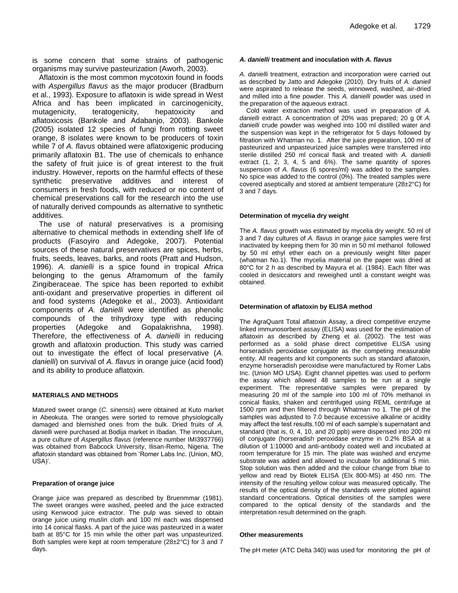is some concern that some strains of pathogenic organisms may survive pasteurization (Aworh, 2003).

Aflatoxin is the most common mycotoxin found in foods with *Aspergillus flavus* as the major producer (Bradburn et al., 1993). Exposure to aflatoxin is wide spread in West Africa and has been implicated in carcinogenicity, mutagenicity, teratogenicity, hepatoxicity and aflatoxicosis (Bankole and Adabanjo, 2003). Bankole (2005) isolated 12 species of fungi from rotting sweet orange, 8 isolates were known to be producers of toxin while 7 of *A. flavus* obtained were aflatoxigenic producing primarily aflatoxin B1. The use of chemicals to enhance the safety of fruit juice is of great interest to the fruit industry. However, reports on the harmful effects of these synthetic preservative additives and interest of consumers in fresh foods, with reduced or no content of chemical preservations call for the research into the use of naturally derived compounds as alternative to synthetic additives.

The use of natural preservatives is a promising alternative to chemical methods in extending shelf life of products (Fasoyiro and Adegoke, 2007). Potential sources of these natural preservatives are spices, herbs, fruits, seeds, leaves, barks, and roots (Pratt and Hudson, 1996). *A. danielli* is a spice found in tropical Africa belonging to the genus Aframomum of the family Zingiberaceae. The spice has been reported to exhibit anti-oxidant and preservative properties in different oil and food systems (Adegoke et al., 2003). Antioxidant components of *A. danielli* were identified as phenolic compounds of the trihydroxy type with reducing properties (Adegoke and Gopalakrishna, 1998). Therefore, the effectiveness of *A. danielli* in reducing growth and aflatoxin production. This study was carried out to investigate the effect of local preservative (*A. danielli*) on survival of *A. flavus* in orange juice (acid food) and its ability to produce aflatoxin.

#### **MATERIALS AND METHODS**

Matured sweet orange (*C. sinensis*) were obtained at Kuto market in Abeokuta. The oranges were sorted to remove physiologically damaged and blemished ones from the bulk. Dried fruits of *A. danielli* were purchased at Bodija market in Ibadan. The innoculum, a pure culture of *Aspergillus flavus* (reference number IMI3937766) was obtained from Babcock University, Ilisan-Remo, Nigeria. The aflatoxin standard was obtained from 'Romer Labs Inc. (Union, MO, USA)'.

#### **Preparation of orange juice**

Orange juice was prepared as described by Bruenmmar (1981). The sweet oranges were washed, peeled and the juice extracted using Kenwood juice extractor. The pulp was sieved to obtain orange juice using muslin cloth and 100 ml each was dispensed into 14 conical flasks. A part of the juice was pasteurized in a water bath at 85°C for 15 min while the other part was unpasteurized. Both samples were kept at room temperature (28±2°C) for 3 and 7 days.

#### *A. danielli* **treatment and inoculation with** *A. flavus*

*A. danielli* treatment, extraction and incorporation were carried out as described by Jatto and Adegoke (2010). Dry fruits of *A. daniell* were aspirated to release the seeds, winnowed, washed, air-dried and milled into a fine powder. This *A. danielli* powder was used in the preparation of the aqueous extract.

Cold water extraction method was used in preparation of *A. danielli* extract. A concentration of 20% was prepared; 20 g 0f *A. danielli* crude powder was weighed into 100 ml distilled water and the suspension was kept in the refrigerator for 5 days followed by filtration with Whatman no. 1. After the juice preparation, 100 ml of pasteurized and unpasteurized juice samples were transferred into sterile distilled 250 ml conical flask and treated with *A. danielli* extract (1, 2, 3, 4, 5 and 6%). The same quantity of spores suspension of *A. flavus* (6 spores/ml) was added to the samples. No spice was added to the control (0%). The treated samples were covered aseptically and stored at ambient temperature (28±2°C) for 3 and 7 days.

#### **Determination of mycelia dry weight**

The *A. flavus* growth was estimated by mycelia dry weight. 50 ml of 3 and 7 day cultures of *A. flavus* in orange juice samples were first inactivated by keeping them for 30 min in 50 ml methanol followed by 50 ml ethyl ether each on a previously weight filter paper (whatman No.1). The mycelia material on the paper was dried at 80°C for 2 h as described by Mayura et al. (1984). Each filter was cooled in desiccators and reweighed until a constant weight was obtained.

#### **Determination of aflatoxin by ELISA method**

The AgraQuant Total aflatoxin Assay, a direct competitive enzyme linked immunosorbent assay (ELISA) was used for the estimation of aflatoxin as described by Zheng et al. (2002). The test was performed as a solid phase direct competitive ELISA using horseradish peroxidase conjugate as the competing measurable entity. All reagents and kit components such as standard aflatoxin, enzyme horseradish peroxidise were manufactured by Romer Labs Inc. (Union MO USA). Eight channel pipettes was used to perform the assay which allowed 48 samples to be run at a single experiment. The representative samples were prepared by measuring 20 ml of the sample into 100 ml of 70% methanol in conical flasks, shaken and centrifuged using REML centrifuge at 1500 rpm and then filtered through Whatman no 1. The pH of the samples was adjusted to 7.0 because excessive alkaline or acidity may affect the test results.100 ml of each sample's supernatant and standard (that is, 0, 4, 10, and 20 ppb) were dispensed into 200 ml of conjugate (horseradish peroxidase enzyme in 0.2% BSA at a dilution of 1:10000 and anti-antibody coated well and incubated at room temperature for 15 min. The plate was washed and enzyme substrate was added and allowed to incubate for additional 5 min. Stop solution was then added and the colour change from blue to yellow and read by Biotek ELISA (Elx 800-MS) at 450 nm. The intensity of the resulting yellow colour was measured optically. The results of the optical density of the standards were plotted against standard concentrations. Optical densities of the samples were compared to the optical density of the standards and the interpretation result determined on the graph.

#### **Other measurements**

The pH meter (ATC Delta 340) was used for monitoring the pH of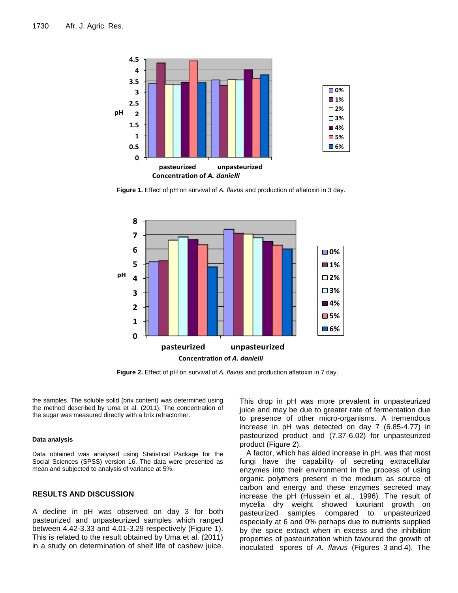

**Figure 1.** Effect of pH on survival of *A. flavus* and production of aflatoxin in 3 day.



**Figure 2.** Effect of pH on survival of *A. flavus* and production aflatoxin in 7 day.

the samples. The soluble solid (brix content) was determined using the method described by Uma et al. (2011). The concentration of the sugar was measured directly with a brix refractomer.

#### **Data analysis**

Data obtained was analysed using Statistical Package for the Social Sciences (SPSS) version 16. The data were presented as mean and subjected to analysis of variance at 5%.

### **RESULTS AND DISCUSSION**

A decline in pH was observed on day 3 for both pasteurized and unpasteurized samples which ranged between 4.42-3.33 and 4.01-3.29 respectively (Figure 1). This is related to the result obtained by Uma et al. (2011) in a study on determination of shelf life of cashew juice.

This drop in pH was more prevalent in unpasteurized juice and may be due to greater rate of fermentation due to presence of other micro-organisms. A tremendous increase in pH was detected on day 7 (6.85-4.77) in pasteurized product and (7.37-6.02) for unpasteurized product (Figure 2).

A factor, which has aided increase in pH, was that most fungi have the capability of secreting extracellular enzymes into their environment in the process of using organic polymers present in the medium as source of carbon and energy and these enzymes secreted may increase the pH (Hussein et al., 1996). The result of mycelia dry weight showed luxuriant growth on pasteurized samples compared to unpasteurized especially at 6 and 0% perhaps due to nutrients supplied by the spice extract when in excess and the inhibition properties of pasteurization which favoured the growth of inoculated spores of *A. flavus* (Figures 3 and 4). The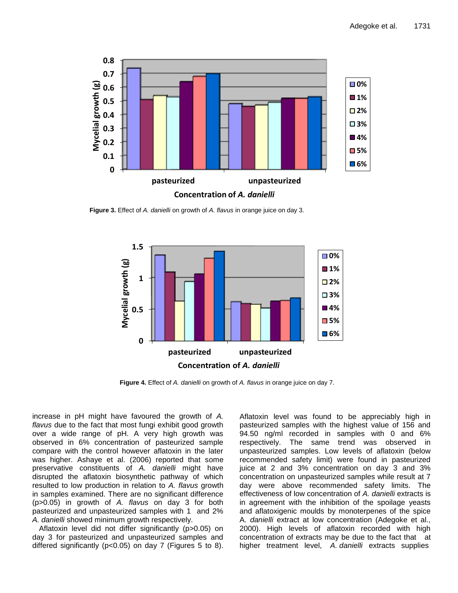

**Concentration of** *A. danielli*

**Figure 3.** Effect of *A. danielli* on growth of *A. flavus* in orange juice on day 3.



**Figure 4.** Effect of *A. danielli* on growth of *A. flavus* in orange juice on day 7.

increase in pH might have favoured the growth of *A. flavus* due to the fact that most fungi exhibit good growth over a wide range of pH. A very high growth was observed in 6% concentration of pasteurized sample compare with the control however aflatoxin in the later was higher. Ashaye et al. (2006) reported that some preservative constituents of *A. danielli* might have disrupted the aflatoxin biosynthetic pathway of which resulted to low production in relation to *A. flavus* growth in samples examined. There are no significant difference (p>0.05) in growth of *A. flavus* on day 3 for both pasteurized and unpasteurized samples with 1 and 2% *A. danielli* showed minimum growth respectively.

Aflatoxin level did not differ significantly (p>0.05) on day 3 for pasteurized and unpasteurized samples and differed significantly (p<0.05) on day 7 (Figures 5 to 8).

Aflatoxin level was found to be appreciably high in pasteurized samples with the highest value of 156 and 94.50 ng/ml recorded in samples with 0 and 6% respectively. The same trend was observed in unpasteurized samples. Low levels of aflatoxin (below recommended safety limit) were found in pasteurized juice at 2 and 3% concentration on day 3 and 3% concentration on unpasteurized samples while result at 7 day were above recommended safety limits. The effectiveness of low concentration of *A. danielli* extracts is in agreement with the inhibition of the spoilage yeasts and aflatoxigenic moulds by monoterpenes of the spice A. *danielli* extract at low concentration (Adegoke et al., 2000). High levels of aflatoxin recorded with high concentration of extracts may be due to the fact that at higher treatment level, *A. danielli* extracts supplies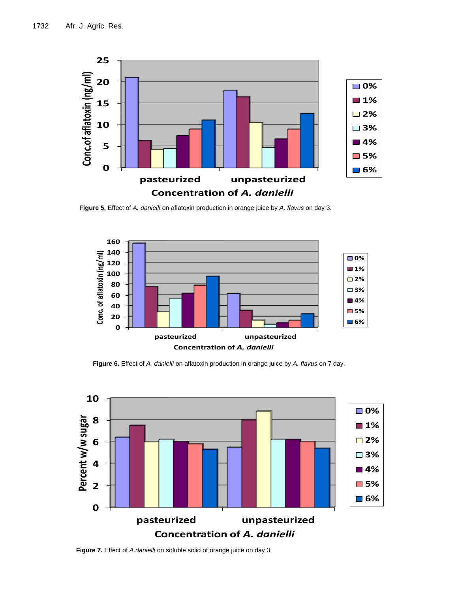

**Figure 5.** Effect of *A. danielli* on aflatoxin production in orange juice by *A. flavus* on day 3.



**Figure 6.** Effect of *A. danielli* on aflatoxin production in orange juice by *A. flavus* on 7 day.



**Figure 7.** Effect of *A.danielli* on soluble solid of orange juice on day 3.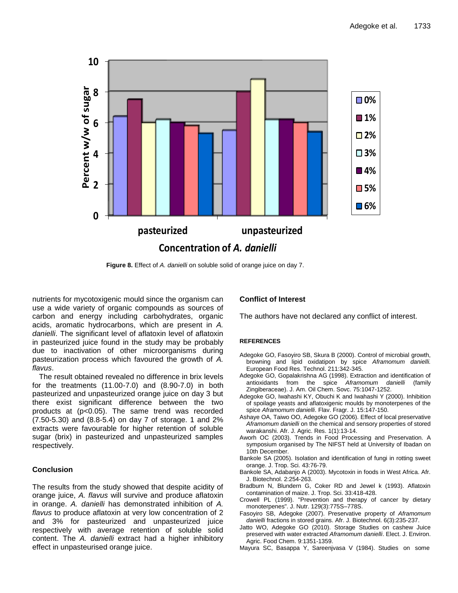

**Figure 8.** Effect of *A. danielli* on soluble solid of orange juice on day 7.

nutrients for mycotoxigenic mould since the organism can use a wide variety of organic compounds as sources of carbon and energy including carbohydrates, organic acids, aromatic hydrocarbons, which are present in *A. danielli*. The significant level of aflatoxin level of aflatoxin in pasteurized juice found in the study may be probably due to inactivation of other microorganisms during pasteurization process which favoured the growth of *A. flavus*.

The result obtained revealed no difference in brix levels for the treatments (11.00-7.0) and (8.90-7.0) in both pasteurized and unpasteurized orange juice on day 3 but there exist significant difference between the two products at (p<0.05). The same trend was recorded (7.50-5.30) and (8.8-5.4) on day 7 of storage. 1 and 2% extracts were favourable for higher retention of soluble sugar (brix) in pasteurized and unpasteurized samples respectively.

## **Conclusion**

The results from the study showed that despite acidity of orange juice, *A. flavus* will survive and produce aflatoxin in orange. *A. danielli* has demonstrated inhibition of *A. flavus* to produce aflatoxin at very low concentration of 2 and 3% for pasteurized and unpasteurized juice respectively with average retention of soluble solid content. The *A. danielli* extract had a higher inhibitory effect in unpasteurised orange juice.

# **Conflict of Interest**

The authors have not declared any conflict of interest.

#### **REFERENCES**

- Adegoke GO, Fasoyiro SB, Skura B (2000). Control of microbial growth, browning and lipid oxidatipon by spice *Aframomum danielli.* European Food Res. Technol. 211:342-345.
- Adegoke GO, Gopalakrishna AG (1998). Extraction and identification of antioxidants from the spice *Aframomum danielli* (family Zingiberaceae). J. Am. Oil Chem. Sovc. 75:1047-1252.
- Adegoke GO, Iwahashi KY, Obuchi K and Iwahashi Y (2000). Inhibition of spoilage yeasts and aflatoxigenic moulds by monoterpenes of the spice *Aframomum danielli*. Flav. Fragr. J. 15:147-150.
- Ashaye OA, Taiwo OO, Adegoke GO (2006). Effect of local preservative *Aframomum danielli* on the chemical and sensory properties of stored warakanshi. Afr. J. Agric. Res. 1(1):13-14.
- Aworh OC (2003). Trends in Food Processing and Preservation. A symposium organised by The NIFST held at University of Ibadan on 10th December.
- Bankole SA (2005). Isolation and identification of fungi in rotting sweet orange. J. Trop. Sci. 43:76-79.
- Bankole SA, Adabanjo A (2003). Mycotoxin in foods in West Africa. Afr. J. Biotechnol. 2:254-263.
- Bradburn N, Blundern G, Coker RD and Jewel k (1993). Aflatoxin contamination of maize. J. Trop. Sci. 33:418-428.
- Crowell PL (1999). "Prevention and therapy of cancer by dietary monoterpenes". J. Nutr. 129(3):775S–778S.
- Fasoyiro SB, Adegoke (2007). Preservative property of *Aframomum danielli* fractions in stored grains. Afr. J. Biotechnol. 6(3):235-237.
- Jatto WO, Adegoke GO (2010). Storage Studies on cashew Juice preserved with water extracted *Aframomum danielli*. Elect. J. Environ. Agric. Food Chem. 9:1351-1359.
- Mayura SC, Basappa Y, Sareenjvasa V (1984). Studies on some